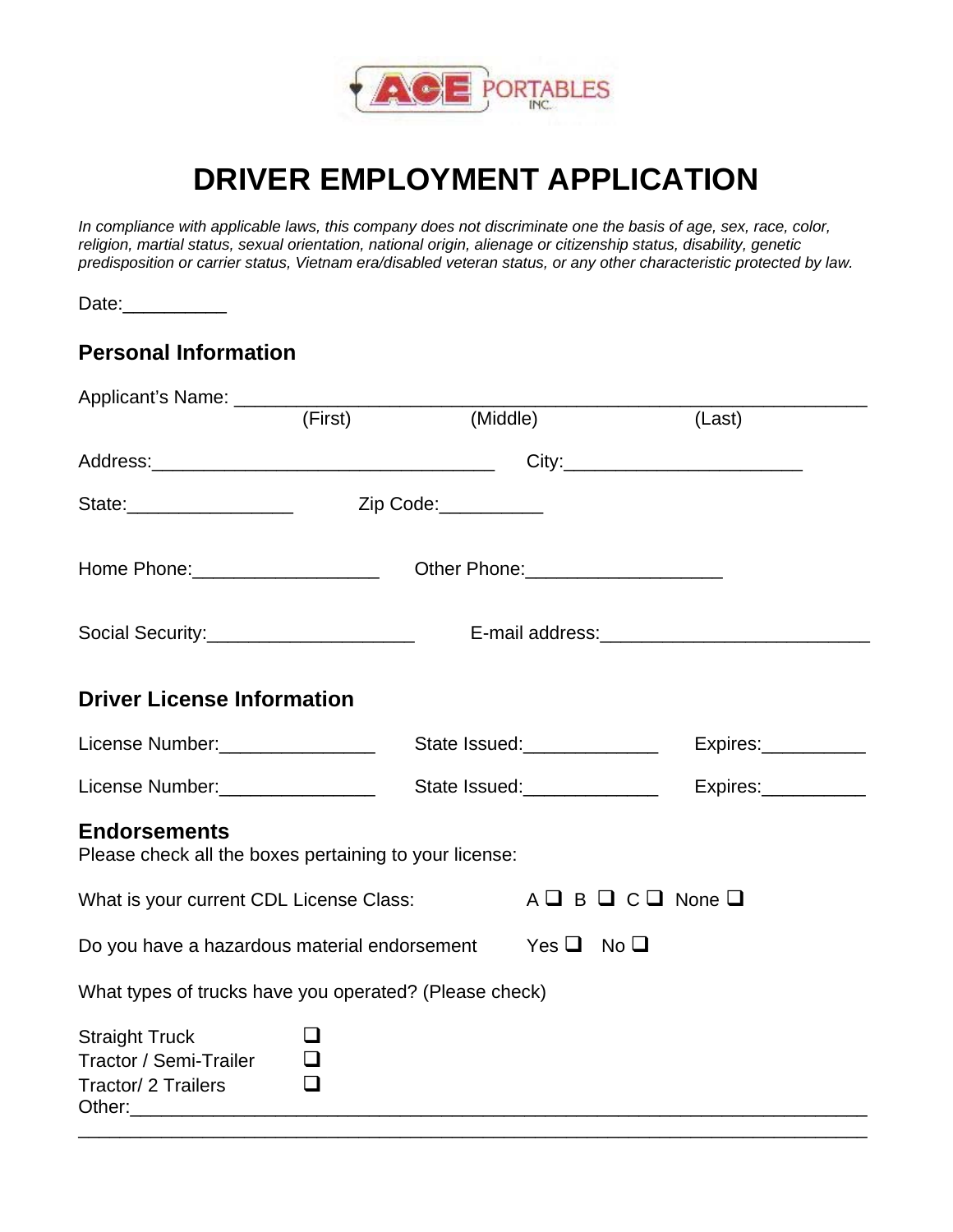

# **DRIVER EMPLOYMENT APPLICATION**

*In compliance with applicable laws, this company does not discriminate one the basis of age, sex, race, color, religion, martial status, sexual orientation, national origin, alienage or citizenship status, disability, genetic predisposition or carrier status, Vietnam era/disabled veteran status, or any other characteristic protected by law.* 

Date:\_\_\_\_\_\_\_\_\_\_

### **Personal Information**

| Applicant's Name: __________                                                  |                  |                    |                                                |                     |  |  |
|-------------------------------------------------------------------------------|------------------|--------------------|------------------------------------------------|---------------------|--|--|
|                                                                               | (First)          |                    | (Middle)                                       | (Last)              |  |  |
|                                                                               |                  |                    |                                                |                     |  |  |
|                                                                               |                  |                    |                                                |                     |  |  |
|                                                                               |                  |                    |                                                |                     |  |  |
|                                                                               |                  |                    |                                                |                     |  |  |
| <b>Driver License Information</b>                                             |                  |                    |                                                |                     |  |  |
|                                                                               |                  |                    |                                                | Express:            |  |  |
| License Number: __________________                                            |                  |                    | State Issued:_______________                   | Expires:___________ |  |  |
| <b>Endorsements</b><br>Please check all the boxes pertaining to your license: |                  |                    |                                                |                     |  |  |
| What is your current CDL License Class:                                       |                  |                    | $A \square B \square C \square$ None $\square$ |                     |  |  |
| Do you have a hazardous material endorsement                                  |                  | $Yes \Box No \Box$ |                                                |                     |  |  |
| What types of trucks have you operated? (Please check)                        |                  |                    |                                                |                     |  |  |
| <b>Straight Truck</b><br>Tractor / Semi-Trailer<br>Tractor/ 2 Trailers        | $\Box$<br>$\Box$ |                    |                                                |                     |  |  |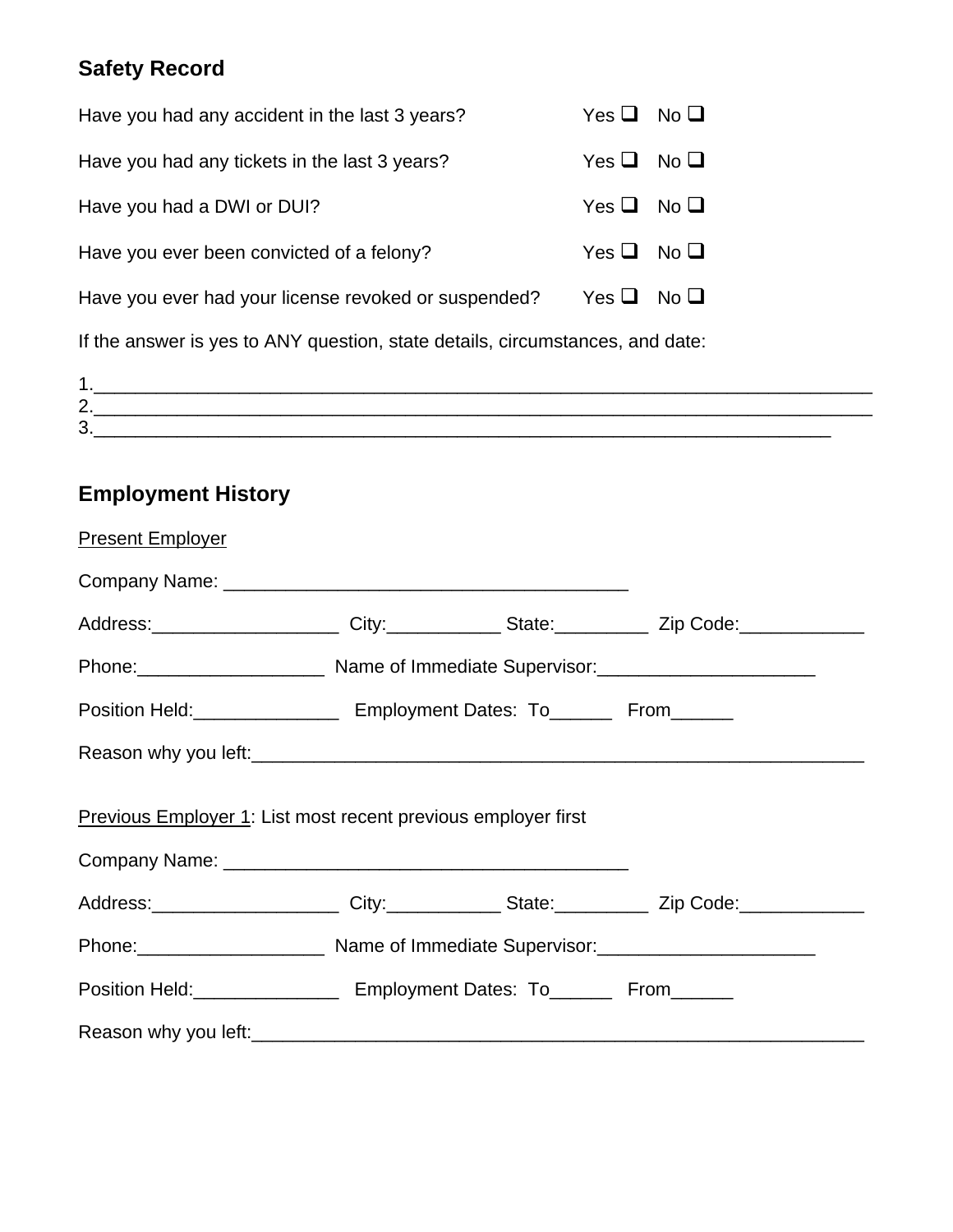### **Safety Record**

| Have you had any accident in the last 3 years?                                | No <sub>Q</sub><br>Yes $\Box$ |  |  |  |
|-------------------------------------------------------------------------------|-------------------------------|--|--|--|
| Have you had any tickets in the last 3 years?                                 | Yes $\Box$<br>No <sub>l</sub> |  |  |  |
| Have you had a DWI or DUI?                                                    | Yes $\Box$<br>No <sub>l</sub> |  |  |  |
| Have you ever been convicted of a felony?                                     | Yes $\Box$<br>No <sub>l</sub> |  |  |  |
| Have you ever had your license revoked or suspended?                          | Yes $\Box$<br>No <sub>l</sub> |  |  |  |
| If the answer is yes to ANY question, state details, circumstances, and date: |                               |  |  |  |
| $1_{\cdot}$                                                                   |                               |  |  |  |
| 2.                                                                            |                               |  |  |  |
| 3.                                                                            |                               |  |  |  |

## **Employment History**

| <b>Present Employer</b>                                                                             |                                                                                |  |  |  |  |  |  |
|-----------------------------------------------------------------------------------------------------|--------------------------------------------------------------------------------|--|--|--|--|--|--|
|                                                                                                     |                                                                                |  |  |  |  |  |  |
| Address: _______________________City:______________State: _____________Zip Code: __________________ |                                                                                |  |  |  |  |  |  |
|                                                                                                     | Phone: 2008 Communicate Supervisor: 2008. [2016] Name of Immediate Supervisor: |  |  |  |  |  |  |
| Position Held:<br><u> From</u> Employment Dates: To<br>From Containing                              |                                                                                |  |  |  |  |  |  |
|                                                                                                     |                                                                                |  |  |  |  |  |  |
| Previous Employer 1: List most recent previous employer first                                       |                                                                                |  |  |  |  |  |  |
| Address: _______________________City:______________State: _____________Zip Code: __________________ |                                                                                |  |  |  |  |  |  |
|                                                                                                     |                                                                                |  |  |  |  |  |  |
|                                                                                                     | Position Held:_____________________ Employment Dates: To________ From_______   |  |  |  |  |  |  |
|                                                                                                     |                                                                                |  |  |  |  |  |  |